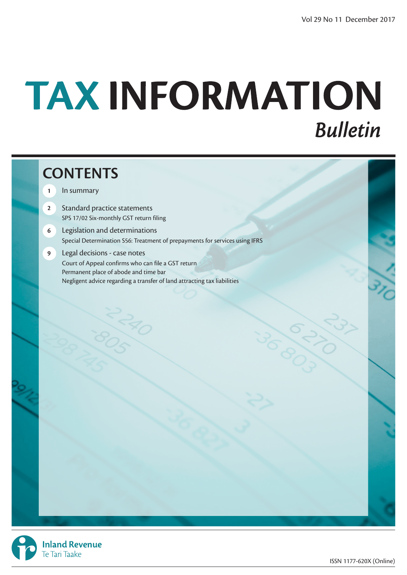# TAX INFORMATION **Bulletin**

# **CONTENTS**

- **1** In summary
- **2** Standard practice statements SPS 17/02 Six-monthly GST return filing
- **6** Legislation and determinations Special Determination S56: Treatment of prepayments for services using IFRS
- **9** Legal decisions case notes Court of Appeal confirms who can file a GST return Permanent place of abode and time bar Negligent advice regarding a transfer of land attracting tax liabilities



**Inland Revenue** Te Tari Taake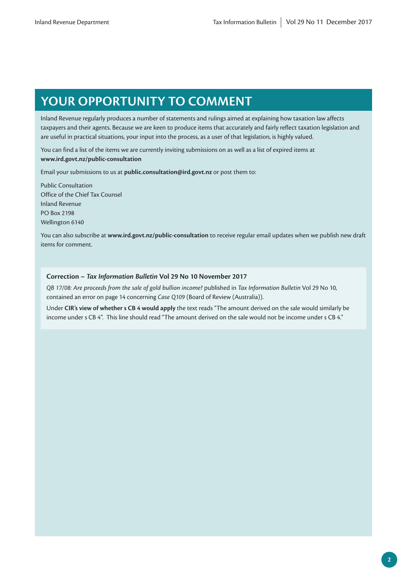# **YOUR OPPORTUNITY TO COMMENT**

Inland Revenue regularly produces a number of statements and rulings aimed at explaining how taxation law affects taxpayers and their agents. Because we are keen to produce items that accurately and fairly reflect taxation legislation and are useful in practical situations, your input into the process, as a user of that legislation, is highly valued.

You can find a list of the items we are currently inviting submissions on as well as a list of expired items at **www.ird.govt.nz/public-consultation**

Email your submissions to us at **public.consultation@ird.govt.nz** or post them to:

Public Consultation Office of the Chief Tax Counsel Inland Revenue PO Box 2198 Wellington 6140

You can also subscribe at **www.ird.govt.nz/public-consultation** to receive regular email updates when we publish new draft items for comment.

#### **Correction –** *Tax Information Bulletin* **Vol 29 No 10 November 2017**

*QB 17/08: Are proceeds from the sale of gold bullion income?* published in *Tax Information Bulletin* Vol 29 No 10, contained an error on page 14 concerning *Case Q109* (Board of Review (Australia)).

Under **CIR's view of whether s CB 4 would apply** the text reads "The amount derived on the sale would similarly be income under s CB 4". This line should read "The amount derived on the sale would not be income under s CB 4."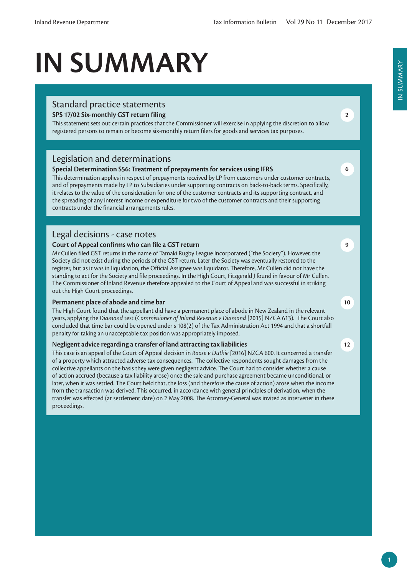# **IN SUMMARY**

### Standard practice statements

#### **SPS 17/02 Six-monthly GST return filing**

This statement sets out certain practices that the Commissioner will exercise in applying the discretion to allow registered persons to remain or become six-monthly return filers for goods and services tax purposes.

### Legislation and determinations

#### **Special Determination S56: Treatment of prepayments for services using IFRS**

This determination applies in respect of prepayments received by LP from customers under customer contracts, and of prepayments made by LP to Subsidiaries under supporting contracts on back-to-back terms. Specifically, it relates to the value of the consideration for one of the customer contracts and its supporting contract, and the spreading of any interest income or expenditure for two of the customer contracts and their supporting contracts under the financial arrangements rules.

#### Legal decisions - case notes

#### **Court of Appeal confirms who can file a GST return**

Mr Cullen filed GST returns in the name of Tamaki Rugby League Incorporated ("the Society"). However, the Society did not exist during the periods of the GST return. Later the Society was eventually restored to the register, but as it was in liquidation, the Official Assignee was liquidator. Therefore, Mr Cullen did not have the standing to act for the Society and file proceedings. In the High Court, Fitzgerald J found in favour of Mr Cullen. The Commissioner of Inland Revenue therefore appealed to the Court of Appeal and was successful in striking out the High Court proceedings.

#### **Permanent place of abode and time bar**

The High Court found that the appellant did have a permanent place of abode in New Zealand in the relevant years, applying the *Diamond* test (*Commissioner of Inland Revenue v Diamond* [2015] NZCA 613). The Court also concluded that time bar could be opened under s 108(2) of the Tax Administration Act 1994 and that a shortfall penalty for taking an unacceptable tax position was appropriately imposed.

#### **Negligent advice regarding a transfer of land attracting tax liabilities**

This case is an appeal of the Court of Appeal decision in *Roose v Duthie* [2016] NZCA 600. It concerned a transfer of a property which attracted adverse tax consequences. The collective respondents sought damages from the collective appellants on the basis they were given negligent advice. The Court had to consider whether a cause of action accrued (because a tax liability arose) once the sale and purchase agreement became unconditional, or later, when it was settled. The Court held that, the loss (and therefore the cause of action) arose when the income from the transaction was derived. This occurred, in accordance with general principles of derivation, when the transfer was effected (at settlement date) on 2 May 2008. The Attorney-General was invited as intervener in these proceedings.

**9**

**2**

**6**

#### **12**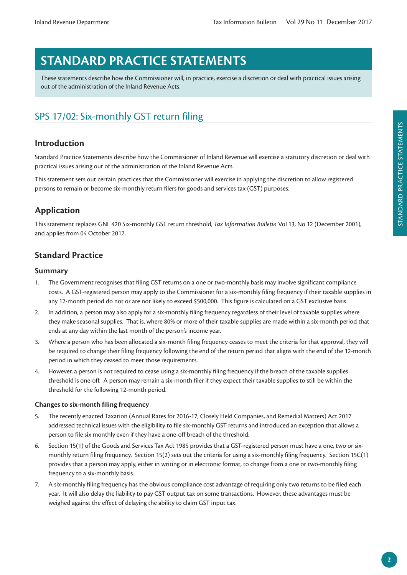# **STANDARD PRACTICE STATEMENTS**

These statements describe how the Commissioner will, in practice, exercise a discretion or deal with practical issues arising out of the administration of the Inland Revenue Acts.

# SPS 17/02: Six-monthly GST return filing

## **Introduction**

Standard Practice Statements describe how the Commissioner of Inland Revenue will exercise a statutory discretion or deal with practical issues arising out of the administration of the Inland Revenue Acts.

This statement sets out certain practices that the Commissioner will exercise in applying the discretion to allow registered persons to remain or become six-monthly return filers for goods and services tax (GST) purposes.

## **Application**

This statement replaces GNL 420 Six-monthly GST return threshold, *Tax Information Bulletin* Vol 13, No 12 (December 2001), and applies from 04 October 2017.

## **Standard Practice**

#### **Summary**

- 1. The Government recognises that filing GST returns on a one or two-monthly basis may involve significant compliance costs. A GST-registered person may apply to the Commissioner for a six-monthly filing frequency if their taxable supplies in any 12-month period do not or are not likely to exceed \$500,000. This figure is calculated on a GST exclusive basis.
- 2. In addition, a person may also apply for a six-monthly filing frequency regardless of their level of taxable supplies where they make seasonal supplies. That is, where 80% or more of their taxable supplies are made within a six-month period that ends at any day within the last month of the person's income year.
- 3. Where a person who has been allocated a six-month filing frequency ceases to meet the criteria for that approval, they will be required to change their filing frequency following the end of the return period that aligns with the end of the 12-month period in which they ceased to meet those requirements.
- 4. However, a person is not required to cease using a six-monthly filing frequency if the breach of the taxable supplies threshold is one-off. A person may remain a six-month filer if they expect their taxable supplies to still be within the threshold for the following 12-month period.

#### **Changes to six-month filing frequency**

- 5. The recently enacted Taxation (Annual Rates for 2016-17, Closely Held Companies, and Remedial Matters) Act 2017 addressed technical issues with the eligibility to file six-monthly GST returns and introduced an exception that allows a person to file six monthly even if they have a one-off breach of the threshold.
- 6. Section 15(1) of the Goods and Services Tax Act 1985 provides that a GST-registered person must have a one, two or sixmonthly return filing frequency. Section 15(2) sets out the criteria for using a six-monthly filing frequency. Section 15C(1) provides that a person may apply, either in writing or in electronic format, to change from a one or two-monthly filing frequency to a six-monthly basis.
- 7. A six-monthly filing frequency has the obvious compliance cost advantage of requiring only two returns to be filed each year. It will also delay the liability to pay GST output tax on some transactions. However, these advantages must be weighed against the effect of delaying the ability to claim GST input tax.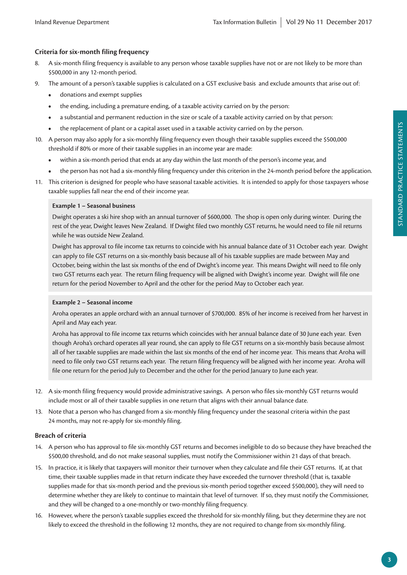#### **Criteria for six-month filing frequency**

- 8. A six-month filing frequency is available to any person whose taxable supplies have not or are not likely to be more than \$500,000 in any 12-month period.
- 9. The amount of a person's taxable supplies is calculated on a GST exclusive basis and exclude amounts that arise out of:
	- **•** donations and exempt supplies
	- **•** the ending, including a premature ending, of a taxable activity carried on by the person:
	- **•** a substantial and permanent reduction in the size or scale of a taxable activity carried on by that person:
	- the replacement of plant or a capital asset used in a taxable activity carried on by the person.
- 10. A person may also apply for a six-monthly filing frequency even though their taxable supplies exceed the \$500,000 threshold if 80% or more of their taxable supplies in an income year are made:
	- **•** within a six-month period that ends at any day within the last month of the person's income year, and
	- **•** the person has not had a six-monthly filing frequency under this criterion in the 24-month period before the application.
- 11. This criterion is designed for people who have seasonal taxable activities. It is intended to apply for those taxpayers whose taxable supplies fall near the end of their income year.

#### **Example 1 – Seasonal business**

Dwight operates a ski hire shop with an annual turnover of \$600,000. The shop is open only during winter. During the rest of the year, Dwight leaves New Zealand. If Dwight filed two monthly GST returns, he would need to file nil returns while he was outside New Zealand.

Dwight has approval to file income tax returns to coincide with his annual balance date of 31 October each year. Dwight can apply to file GST returns on a six-monthly basis because all of his taxable supplies are made between May and October, being within the last six months of the end of Dwight's income year. This means Dwight will need to file only two GST returns each year. The return filing frequency will be aligned with Dwight's income year. Dwight will file one return for the period November to April and the other for the period May to October each year.

#### **Example 2 – Seasonal income**

Aroha operates an apple orchard with an annual turnover of \$700,000. 85% of her income is received from her harvest in April and May each year.

Aroha has approval to file income tax returns which coincides with her annual balance date of 30 June each year. Even though Aroha's orchard operates all year round, she can apply to file GST returns on a six-monthly basis because almost all of her taxable supplies are made within the last six months of the end of her income year. This means that Aroha will need to file only two GST returns each year. The return filing frequency will be aligned with her income year. Aroha will file one return for the period July to December and the other for the period January to June each year.

- 12. A six-month filing frequency would provide administrative savings. A person who files six-monthly GST returns would include most or all of their taxable supplies in one return that aligns with their annual balance date.
- 13. Note that a person who has changed from a six-monthly filing frequency under the seasonal criteria within the past 24 months, may not re-apply for six-monthly filing.

#### **Breach of criteria**

- 14. A person who has approval to file six-monthly GST returns and becomes ineligible to do so because they have breached the \$500,00 threshold, and do not make seasonal supplies, must notify the Commissioner within 21 days of that breach.
- 15. In practice, it is likely that taxpayers will monitor their turnover when they calculate and file their GST returns. If, at that time, their taxable supplies made in that return indicate they have exceeded the turnover threshold (that is, taxable supplies made for that six-month period and the previous six-month period together exceed \$500,000), they will need to determine whether they are likely to continue to maintain that level of turnover. If so, they must notify the Commissioner, and they will be changed to a one-monthly or two-monthly filing frequency.
- 16. However, where the person's taxable supplies exceed the threshold for six-monthly filing, but they determine they are not likely to exceed the threshold in the following 12 months, they are not required to change from six-monthly filing.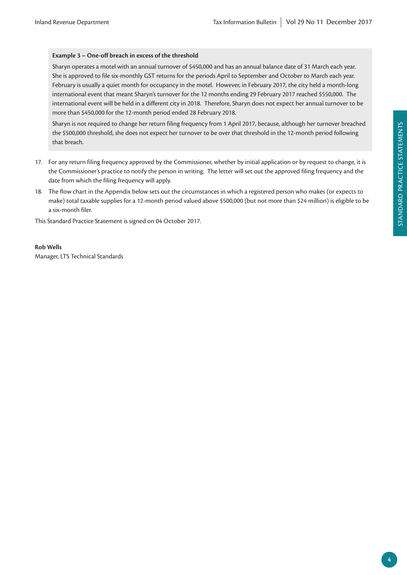#### **Example 3 – One-off breach in excess of the threshold**

Sharyn operates a motel with an annual turnover of \$450,000 and has an annual balance date of 31 March each year. She is approved to file six-monthly GST returns for the periods April to September and October to March each year. February is usually a quiet month for occupancy in the motel. However, in February 2017, the city held a month-long international event that meant Sharyn's turnover for the 12 months ending 29 February 2017 reached \$550,000. The international event will be held in a different city in 2018. Therefore, Sharyn does not expect her annual turnover to be more than \$450,000 for the 12-month period ended 28 February 2018.

Sharyn is not required to change her return filing frequency from 1 April 2017, because, although her turnover breached the \$500,000 threshold, she does not expect her turnover to be over that threshold in the 12-month period following that breach.

- 17. For any return filing frequency approved by the Commissioner, whether by initial application or by request to change, it is the Commissioner's practice to notify the person in writing. The letter will set out the approved filing frequency and the date from which the filing frequency will apply.
- 18. The flow chart in the Appendix below sets out the circumstances in which a registered person who makes (or expects to make) total taxable supplies for a 12-month period valued above \$500,000 (but not more than \$24 million) is eligible to be a six-month filer.

This Standard Practice Statement is signed on 04 October 2017.

#### **Rob Wells**

Manager, LTS Technical Standards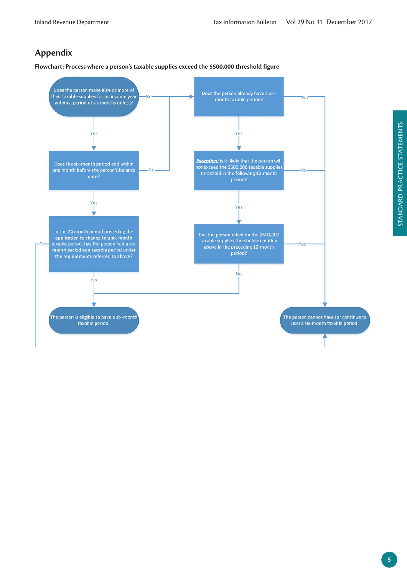# **Appendix**

**Flowchart: Process where a person's taxable supplies exceed the \$500,000 threshold figure**

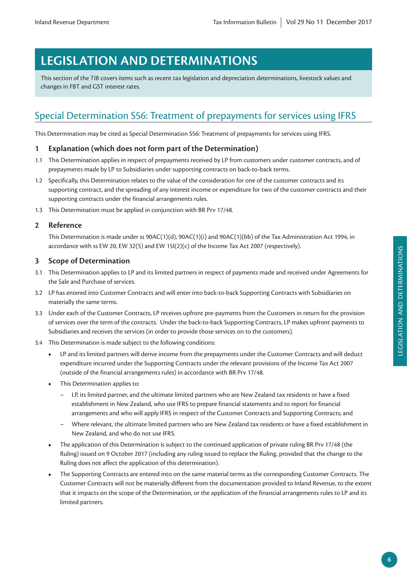# **LEGISLATION AND DETERMINATIONS**

This section of the *TIB* covers items such as recent tax legislation and depreciation determinations, livestock values and changes in FBT and GST interest rates.

# Special Determination S56: Treatment of prepayments for services using IFRS

This Determination may be cited as Special Determination S56: Treatment of prepayments for services using IFRS.

## **1 Explanation (which does not form part of the Determination)**

- 1.1 This Determination applies in respect of prepayments received by LP from customers under customer contracts, and of prepayments made by LP to Subsidiaries under supporting contracts on back-to-back terms.
- 1.2 Specifically, this Determination relates to the value of the consideration for one of the customer contracts and its supporting contract, and the spreading of any interest income or expenditure for two of the customer contracts and their supporting contracts under the financial arrangements rules.
- 1.3 This Determination must be applied in conjunction with BR Prv 17/48.

## **2 Reference**

This Determination is made under ss 90AC(1)(d), 90AC(1)(i) and 90AC(1)(bb) of the Tax Administration Act 1994, in accordance with ss EW 20, EW 32(5) and EW 15I(2)(c) of the Income Tax Act 2007 (respectively).

## **3 Scope of Determination**

- 3.1 This Determination applies to LP and its limited partners in respect of payments made and received under Agreements for the Sale and Purchase of services.
- 3.2 LP has entered into Customer Contracts and will enter into back-to-back Supporting Contracts with Subsidiaries on materially the same terms.
- 3.3 Under each of the Customer Contracts, LP receives upfront pre-payments from the Customers in return for the provision of services over the term of the contracts. Under the back-to-back Supporting Contracts, LP makes upfront payments to Subsidiaries and receives the services (in order to provide those services on to the customers).
- 3.4 This Determination is made subject to the following conditions:
	- **•** LP and its limited partners will derive income from the prepayments under the Customer Contracts and will deduct expenditure incurred under the Supporting Contracts under the relevant provisions of the Income Tax Act 2007 (outside of the financial arrangements rules) in accordance with BR Prv 17/48.
	- **•** This Determination applies to:
		- LP, its limited partner, and the ultimate limited partners who are New Zealand tax residents or have a fixed establishment in New Zealand, who use IFRS to prepare financial statements and to report for financial arrangements and who will apply IFRS in respect of the Customer Contracts and Supporting Contracts; and
		- Where relevant, the ultimate limited partners who are New Zealand tax residents or have a fixed establishment in New Zealand, and who do not use IFRS.
	- The application of this Determination is subject to the continued application of private ruling BR Prv 17/48 (the Ruling) issued on 9 October 2017 (including any ruling issued to replace the Ruling, provided that the change to the Ruling does not affect the application of this determination).
	- **•** The Supporting Contracts are entered into on the same material terms as the corresponding Customer Contracts. The Customer Contracts will not be materially different from the documentation provided to Inland Revenue, to the extent that it impacts on the scope of the Determination, or the application of the financial arrangements rules to LP and its limited partners.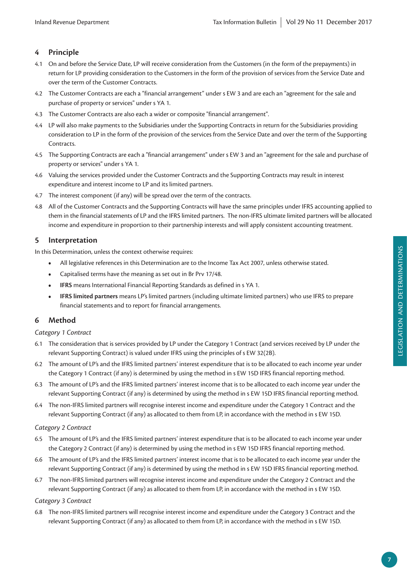## **4 Principle**

- 4.1 On and before the Service Date, LP will receive consideration from the Customers (in the form of the prepayments) in return for LP providing consideration to the Customers in the form of the provision of services from the Service Date and over the term of the Customer Contracts.
- 4.2 The Customer Contracts are each a "financial arrangement" under s EW 3 and are each an "agreement for the sale and purchase of property or services" under s YA 1.
- 4.3 The Customer Contracts are also each a wider or composite "financial arrangement".
- 4.4 LP will also make payments to the Subsidiaries under the Supporting Contracts in return for the Subsidiaries providing consideration to LP in the form of the provision of the services from the Service Date and over the term of the Supporting Contracts.
- 4.5 The Supporting Contracts are each a "financial arrangement" under s EW 3 and an "agreement for the sale and purchase of property or services" under s YA 1.
- 4.6 Valuing the services provided under the Customer Contracts and the Supporting Contracts may result in interest expenditure and interest income to LP and its limited partners.
- 4.7 The interest component (if any) will be spread over the term of the contracts.
- 4.8 All of the Customer Contracts and the Supporting Contracts will have the same principles under IFRS accounting applied to them in the financial statements of LP and the IFRS limited partners. The non-IFRS ultimate limited partners will be allocated income and expenditure in proportion to their partnership interests and will apply consistent accounting treatment.

#### **5 Interpretation**

In this Determination, unless the context otherwise requires:

- **•** All legislative references in this Determination are to the Income Tax Act 2007, unless otherwise stated.
- **•** Capitalised terms have the meaning as set out in Br Prv 17/48.
- **• IFRS** means International Financial Reporting Standards as defined in s YA 1.
- **• IFRS limited partners** means LP's limited partners (including ultimate limited partners) who use IFRS to prepare financial statements and to report for financial arrangements.

#### **6 Method**

#### *Category 1 Contract*

- 6.1 The consideration that is services provided by LP under the Category 1 Contract (and services received by LP under the relevant Supporting Contract) is valued under IFRS using the principles of s EW 32(2B).
- 6.2 The amount of LP's and the IFRS limited partners' interest expenditure that is to be allocated to each income year under the Category 1 Contract (if any) is determined by using the method in s EW 15D IFRS financial reporting method.
- 6.3 The amount of LP's and the IFRS limited partners' interest income that is to be allocated to each income year under the relevant Supporting Contract (if any) is determined by using the method in s EW 15D IFRS financial reporting method.
- 6.4 The non-IFRS limited partners will recognise interest income and expenditure under the Category 1 Contract and the relevant Supporting Contract (if any) as allocated to them from LP, in accordance with the method in s EW 15D.

#### *Category 2 Contract*

- 6.5 The amount of LP's and the IFRS limited partners' interest expenditure that is to be allocated to each income year under the Category 2 Contract (if any) is determined by using the method in s EW 15D IFRS financial reporting method.
- 6.6 The amount of LP's and the IFRS limited partners' interest income that is to be allocated to each income year under the relevant Supporting Contract (if any) is determined by using the method in s EW 15D IFRS financial reporting method.
- 6.7 The non-IFRS limited partners will recognise interest income and expenditure under the Category 2 Contract and the relevant Supporting Contract (if any) as allocated to them from LP, in accordance with the method in s EW 15D.

#### *Category 3 Contract*

6.8 The non-IFRS limited partners will recognise interest income and expenditure under the Category 3 Contract and the relevant Supporting Contract (if any) as allocated to them from LP, in accordance with the method in s EW 15D.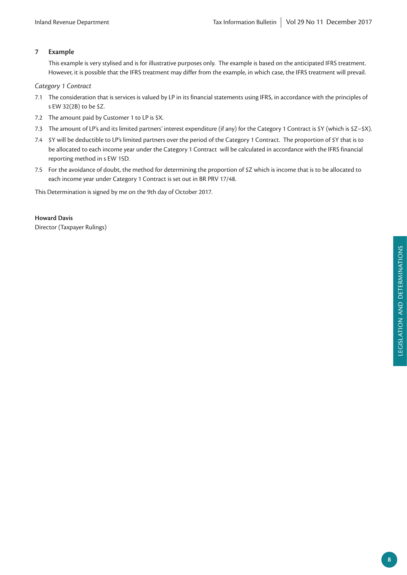#### **7 Example**

This example is very stylised and is for illustrative purposes only. The example is based on the anticipated IFRS treatment. However, it is possible that the IFRS treatment may differ from the example, in which case, the IFRS treatment will prevail.

#### *Category 1 Contract*

- 7.1 The consideration that is services is valued by LP in its financial statements using IFRS, in accordance with the principles of s EW 32(2B) to be \$Z.
- 7.2 The amount paid by Customer 1 to LP is \$X.
- 7.3 The amount of LP's and its limited partners' interest expenditure (if any) for the Category 1 Contract is \$Y (which is \$Z−\$X).
- 7.4 \$Y will be deductible to LP's limited partners over the period of the Category 1 Contract. The proportion of \$Y that is to be allocated to each income year under the Category 1 Contract will be calculated in accordance with the IFRS financial reporting method in s EW 15D.
- 7.5 For the avoidance of doubt, the method for determining the proportion of \$Z which is income that is to be allocated to each income year under Category 1 Contract is set out in BR PRV 17/48.

This Determination is signed by me on the 9th day of October 2017.

#### **Howard Davis**

Director (Taxpayer Rulings)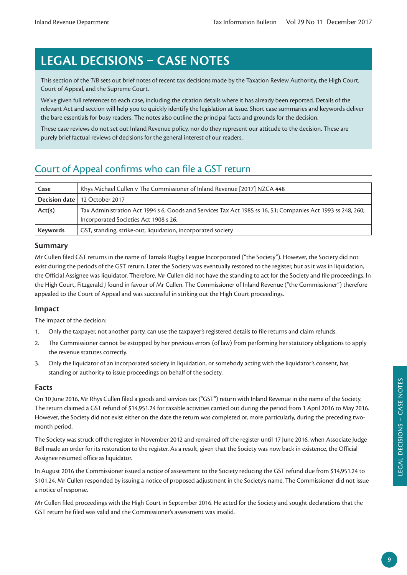# **LEGAL DECISIONS – CASE NOTES**

This section of the *TIB* sets out brief notes of recent tax decisions made by the Taxation Review Authority, the High Court, Court of Appeal, and the Supreme Court.

We've given full references to each case, including the citation details where it has already been reported. Details of the relevant Act and section will help you to quickly identify the legislation at issue. Short case summaries and keywords deliver the bare essentials for busy readers. The notes also outline the principal facts and grounds for the decision.

These case reviews do not set out Inland Revenue policy, nor do they represent our attitude to the decision. These are purely brief factual reviews of decisions for the general interest of our readers.

# Court of Appeal confirms who can file a GST return

| Case     | Rhys Michael Cullen v The Commissioner of Inland Revenue [2017] NZCA 448                                    |
|----------|-------------------------------------------------------------------------------------------------------------|
|          | Decision date   12 October 2017                                                                             |
| Act(s)   | Tax Administration Act 1994 s 6; Goods and Services Tax Act 1985 ss 16, 51; Companies Act 1993 ss 248, 260; |
|          | Incorporated Societies Act 1908 s 26.                                                                       |
| Keywords | GST, standing, strike-out, liquidation, incorporated society                                                |

#### **Summary**

Mr Cullen filed GST returns in the name of Tamaki Rugby League Incorporated ("the Society"). However, the Society did not exist during the periods of the GST return. Later the Society was eventually restored to the register, but as it was in liquidation, the Official Assignee was liquidator. Therefore, Mr Cullen did not have the standing to act for the Society and file proceedings. In the High Court, Fitzgerald J found in favour of Mr Cullen. The Commissioner of Inland Revenue ("the Commissioner") therefore appealed to the Court of Appeal and was successful in striking out the High Court proceedings.

#### **Impact**

The impact of the decision:

- 1. Only the taxpayer, not another party, can use the taxpayer's registered details to file returns and claim refunds.
- 2. The Commissioner cannot be estopped by her previous errors (of law) from performing her statutory obligations to apply the revenue statutes correctly.
- 3. Only the liquidator of an incorporated society in liquidation, or somebody acting with the liquidator's consent, has standing or authority to issue proceedings on behalf of the society.

#### **Facts**

On 10 June 2016, Mr Rhys Cullen filed a goods and services tax ("GST") return with Inland Revenue in the name of the Society. The return claimed a GST refund of \$14,951.24 for taxable activities carried out during the period from 1 April 2016 to May 2016. However, the Society did not exist either on the date the return was completed or, more particularly, during the preceding twomonth period.

The Society was struck off the register in November 2012 and remained off the register until 17 June 2016, when Associate Judge Bell made an order for its restoration to the register. As a result, given that the Society was now back in existence, the Official Assignee resumed office as liquidator.

In August 2016 the Commissioner issued a notice of assessment to the Society reducing the GST refund due from \$14,951.24 to \$101.24. Mr Cullen responded by issuing a notice of proposed adjustment in the Society's name. The Commissioner did not issue a notice of response.

Mr Cullen filed proceedings with the High Court in September 2016. He acted for the Society and sought declarations that the GST return he filed was valid and the Commissioner's assessment was invalid.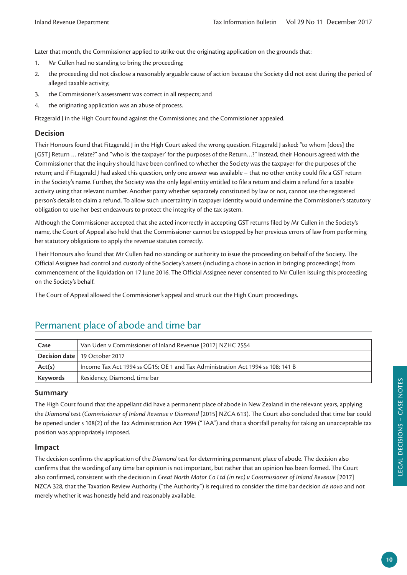Later that month, the Commissioner applied to strike out the originating application on the grounds that:

- 1. Mr Cullen had no standing to bring the proceeding;
- 2. the proceeding did not disclose a reasonably arguable cause of action because the Society did not exist during the period of alleged taxable activity;
- 3. the Commissioner's assessment was correct in all respects; and
- 4. the originating application was an abuse of process.

Fitzgerald J in the High Court found against the Commissioner, and the Commissioner appealed.

#### **Decision**

Their Honours found that Fitzgerald J in the High Court asked the wrong question. Fitzgerald J asked: "to whom [does] the [GST] Return … relate?" and "who is 'the taxpayer' for the purposes of the Return…?" Instead, their Honours agreed with the Commissioner that the inquiry should have been confined to whether the Society was the taxpayer for the purposes of the return; and if Fitzgerald J had asked this question, only one answer was available – that no other entity could file a GST return in the Society's name. Further, the Society was the only legal entity entitled to file a return and claim a refund for a taxable activity using that relevant number. Another party whether separately constituted by law or not, cannot use the registered person's details to claim a refund. To allow such uncertainty in taxpayer identity would undermine the Commissioner's statutory obligation to use her best endeavours to protect the integrity of the tax system.

Although the Commissioner accepted that she acted incorrectly in accepting GST returns filed by Mr Cullen in the Society's name, the Court of Appeal also held that the Commissioner cannot be estopped by her previous errors of law from performing her statutory obligations to apply the revenue statutes correctly.

Their Honours also found that Mr Cullen had no standing or authority to issue the proceeding on behalf of the Society. The Official Assignee had control and custody of the Society's assets (including a chose in action in bringing proceedings) from commencement of the liquidation on 17 June 2016. The Official Assignee never consented to Mr Cullen issuing this proceeding on the Society's behalf.

The Court of Appeal allowed the Commissioner's appeal and struck out the High Court proceedings.

| Case            | Van Uden v Commissioner of Inland Revenue [2017] NZHC 2554                      |
|-----------------|---------------------------------------------------------------------------------|
|                 | Decision date 19 October 2017                                                   |
| Act(s)          | Income Tax Act 1994 ss CG15; OE 1 and Tax Administration Act 1994 ss 108; 141 B |
| <b>Keywords</b> | Residency, Diamond, time bar                                                    |

## Permanent place of abode and time bar

#### **Summary**

The High Court found that the appellant did have a permanent place of abode in New Zealand in the relevant years, applying the *Diamond* test *(Commissioner of Inland Revenue v Diamond* [2015] NZCA 613). The Court also concluded that time bar could be opened under s 108(2) of the Tax Administration Act 1994 ("TAA") and that a shortfall penalty for taking an unacceptable tax position was appropriately imposed.

#### **Impact**

The decision confirms the application of the *Diamond* test for determining permanent place of abode. The decision also confirms that the wording of any time bar opinion is not important, but rather that an opinion has been formed. The Court also confirmed, consistent with the decision in *Great North Motor Co Ltd (in rec) v Commissioner of Inland Revenue* [2017] NZCA 328, that the Taxation Review Authority ("the Authority") is required to consider the time bar decision *de novo* and not merely whether it was honestly held and reasonably available.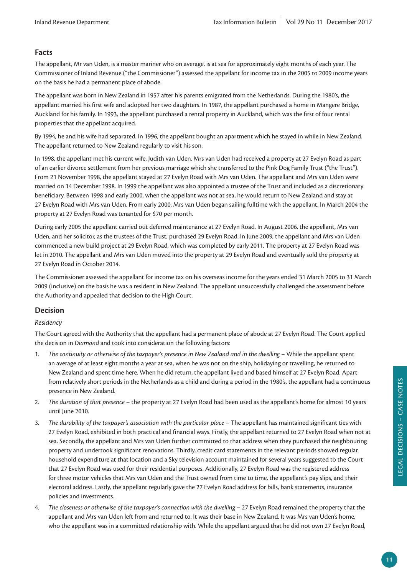#### **Facts**

The appellant, Mr van Uden, is a master mariner who on average, is at sea for approximately eight months of each year. The Commissioner of Inland Revenue ("the Commissioner") assessed the appellant for income tax in the 2005 to 2009 income years on the basis he had a permanent place of abode.

The appellant was born in New Zealand in 1957 after his parents emigrated from the Netherlands. During the 1980's, the appellant married his first wife and adopted her two daughters. In 1987, the appellant purchased a home in Mangere Bridge, Auckland for his family. In 1993, the appellant purchased a rental property in Auckland, which was the first of four rental properties that the appellant acquired.

By 1994, he and his wife had separated. In 1996, the appellant bought an apartment which he stayed in while in New Zealand. The appellant returned to New Zealand regularly to visit his son.

In 1998, the appellant met his current wife, Judith van Uden. Mrs van Uden had received a property at 27 Evelyn Road as part of an earlier divorce settlement from her previous marriage which she transferred to the Pink Dog Family Trust ("the Trust"). From 21 November 1998, the appellant stayed at 27 Evelyn Road with Mrs van Uden. The appellant and Mrs van Uden were married on 14 December 1998. In 1999 the appellant was also appointed a trustee of the Trust and included as a discretionary beneficiary. Between 1998 and early 2000, when the appellant was not at sea, he would return to New Zealand and stay at 27 Evelyn Road with Mrs van Uden. From early 2000, Mrs van Uden began sailing fulltime with the appellant. In March 2004 the property at 27 Evelyn Road was tenanted for \$70 per month.

During early 2005 the appellant carried out deferred maintenance at 27 Evelyn Road. In August 2006, the appellant, Mrs van Uden, and her solicitor, as the trustees of the Trust, purchased 29 Evelyn Road. In June 2009, the appellant and Mrs van Uden commenced a new build project at 29 Evelyn Road, which was completed by early 2011. The property at 27 Evelyn Road was let in 2010. The appellant and Mrs van Uden moved into the property at 29 Evelyn Road and eventually sold the property at 27 Evelyn Road in October 2014.

The Commissioner assessed the appellant for income tax on his overseas income for the years ended 31 March 2005 to 31 March 2009 (inclusive) on the basis he was a resident in New Zealand. The appellant unsuccessfully challenged the assessment before the Authority and appealed that decision to the High Court.

#### **Decision**

#### *Residency*

The Court agreed with the Authority that the appellant had a permanent place of abode at 27 Evelyn Road. The Court applied the decision in *Diamond* and took into consideration the following factors:

- 1. *The continuity or otherwise of the taxpayer's presence in New Zealand and in the dwelling* While the appellant spent an average of at least eight months a year at sea, when he was not on the ship, holidaying or travelling, he returned to New Zealand and spent time here. When he did return, the appellant lived and based himself at 27 Evelyn Road. Apart from relatively short periods in the Netherlands as a child and during a period in the 1980's, the appellant had a continuous presence in New Zealand.
- 2. *The duration of that presence* the property at 27 Evelyn Road had been used as the appellant's home for almost 10 years until June 2010.
- 3. *The durability of the taxpayer's association with the particular place* The appellant has maintained significant ties with 27 Evelyn Road, exhibited in both practical and financial ways. Firstly, the appellant returned to 27 Evelyn Road when not at sea. Secondly, the appellant and Mrs van Uden further committed to that address when they purchased the neighbouring property and undertook significant renovations. Thirdly, credit card statements in the relevant periods showed regular household expenditure at that location and a Sky television account maintained for several years suggested to the Court that 27 Evelyn Road was used for their residential purposes. Additionally, 27 Evelyn Road was the registered address for three motor vehicles that Mrs van Uden and the Trust owned from time to time, the appellant's pay slips, and their electoral address. Lastly, the appellant regularly gave the 27 Evelyn Road address for bills, bank statements, insurance policies and investments.
- 4. *The closeness or otherwise of the taxpayer's connection with the dwelling* 27 Evelyn Road remained the property that the appellant and Mrs van Uden left from and returned to. It was their base in New Zealand. It was Mrs van Uden's home, who the appellant was in a committed relationship with. While the appellant argued that he did not own 27 Evelyn Road,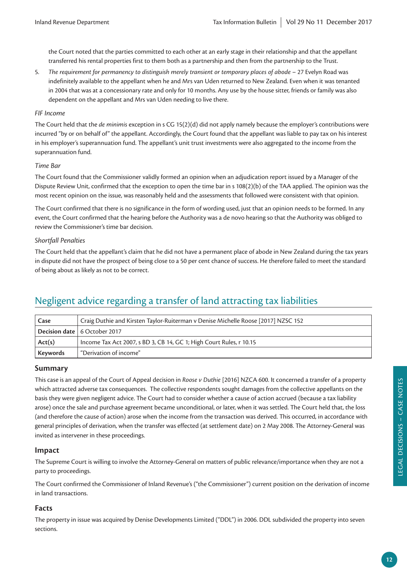the Court noted that the parties committed to each other at an early stage in their relationship and that the appellant transferred his rental properties first to them both as a partnership and then from the partnership to the Trust.

5. *The requirement for permanency to distinguish merely transient or temporary places of abode* – 27 Evelyn Road was indefinitely available to the appellant when he and Mrs van Uden returned to New Zealand. Even when it was tenanted in 2004 that was at a concessionary rate and only for 10 months. Any use by the house sitter, friends or family was also dependent on the appellant and Mrs van Uden needing to live there.

#### *FIF Income*

The Court held that the *de minimis* exception in s CG 15(2)(d) did not apply namely because the employer's contributions were incurred "by or on behalf of" the appellant. Accordingly, the Court found that the appellant was liable to pay tax on his interest in his employer's superannuation fund. The appellant's unit trust investments were also aggregated to the income from the superannuation fund.

#### *Time Bar*

The Court found that the Commissioner validly formed an opinion when an adjudication report issued by a Manager of the Dispute Review Unit, confirmed that the exception to open the time bar in s 108(2)(b) of the TAA applied. The opinion was the most recent opinion on the issue, was reasonably held and the assessments that followed were consistent with that opinion.

The Court confirmed that there is no significance in the form of wording used, just that an opinion needs to be formed. In any event, the Court confirmed that the hearing before the Authority was a de novo hearing so that the Authority was obliged to review the Commissioner's time bar decision.

#### *Shortfall Penalties*

The Court held that the appellant's claim that he did not have a permanent place of abode in New Zealand during the tax years in dispute did not have the prospect of being close to a 50 per cent chance of success. He therefore failed to meet the standard of being about as likely as not to be correct.

# Negligent advice regarding a transfer of land attracting tax liabilities

| Case     | Craig Duthie and Kirsten Taylor-Ruiterman v Denise Michelle Roose [2017] NZSC 152 |
|----------|-----------------------------------------------------------------------------------|
|          | Decision date   6 October 2017                                                    |
| Act(s)   | Income Tax Act 2007, s BD 3, CB 14, GC 1; High Court Rules, r 10.15               |
| Keywords | "Derivation of income"                                                            |

#### **Summary**

This case is an appeal of the Court of Appeal decision in *Roose v Duthie* [2016] NZCA 600. It concerned a transfer of a property which attracted adverse tax consequences. The collective respondents sought damages from the collective appellants on the basis they were given negligent advice. The Court had to consider whether a cause of action accrued (because a tax liability arose) once the sale and purchase agreement became unconditional, or later, when it was settled. The Court held that, the loss (and therefore the cause of action) arose when the income from the transaction was derived. This occurred, in accordance with general principles of derivation, when the transfer was effected (at settlement date) on 2 May 2008. The Attorney-General was invited as intervener in these proceedings.

#### **Impact**

The Supreme Court is willing to involve the Attorney-General on matters of public relevance/importance when they are not a party to proceedings.

The Court confirmed the Commissioner of Inland Revenue's ("the Commissioner") current position on the derivation of income in land transactions.

#### **Facts**

The property in issue was acquired by Denise Developments Limited ("DDL") in 2006. DDL subdivided the property into seven sections.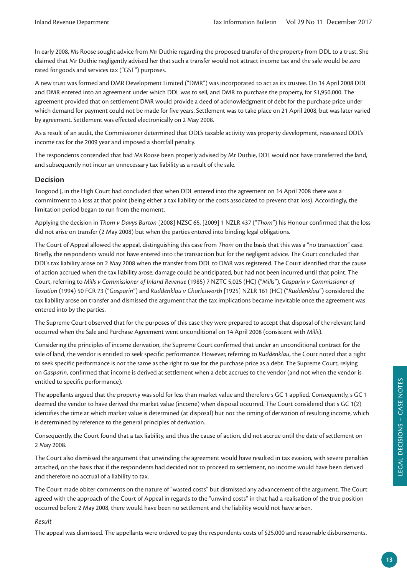In early 2008, Ms Roose sought advice from Mr Duthie regarding the proposed transfer of the property from DDL to a trust. She claimed that Mr Duthie negligently advised her that such a transfer would not attract income tax and the sale would be zero rated for goods and services tax ("GST") purposes.

A new trust was formed and DMR Development Limited ("DMR") was incorporated to act as its trustee. On 14 April 2008 DDL and DMR entered into an agreement under which DDL was to sell, and DMR to purchase the property, for \$1,950,000. The agreement provided that on settlement DMR would provide a deed of acknowledgment of debt for the purchase price under which demand for payment could not be made for five years. Settlement was to take place on 21 April 2008, but was later varied by agreement. Settlement was effected electronically on 2 May 2008.

As a result of an audit, the Commissioner determined that DDL's taxable activity was property development, reassessed DDL's income tax for the 2009 year and imposed a shortfall penalty.

The respondents contended that had Ms Roose been properly advised by Mr Duthie, DDL would not have transferred the land, and subsequently not incur an unnecessary tax liability as a result of the sale.

#### **Decision**

Toogood J, in the High Court had concluded that when DDL entered into the agreement on 14 April 2008 there was a commitment to a loss at that point (being either a tax liability or the costs associated to prevent that loss). Accordingly, the limitation period began to run from the moment.

Applying the decision in *Thom v Davys Burton* [2008] NZSC 65, [2009] 1 NZLR 437 ("*Thom*") his Honour confirmed that the loss did not arise on transfer (2 May 2008) but when the parties entered into binding legal obligations.

The Court of Appeal allowed the appeal, distinguishing this case from *Thom* on the basis that this was a "no transaction" case. Briefly, the respondents would not have entered into the transaction but for the negligent advice. The Court concluded that DDL's tax liability arose on 2 May 2008 when the transfer from DDL to DMR was registered. The Court identified that the cause of action accrued when the tax liability arose; damage could be anticipated, but had not been incurred until that point. The Court, referring to *Mills v Commissioner of Inland Revenue* (1985) 7 NZTC 5,025 (HC) ("*Mills*"), *Gasparin v Commissioner of Taxation* (1994) 50 FCR 73 ("*Gasparin*") and *Ruddenklau v Charlesworth* [1925] NZLR 161 (HC) ("*Ruddenklau*") considered the tax liability arose on transfer and dismissed the argument that the tax implications became inevitable once the agreement was entered into by the parties.

The Supreme Court observed that for the purposes of this case they were prepared to accept that disposal of the relevant land occurred when the Sale and Purchase Agreement went unconditional on 14 April 2008 (consistent with *Mills*).

Considering the principles of income derivation, the Supreme Court confirmed that under an unconditional contract for the sale of land, the vendor is entitled to seek specific performance. However, referring to *Ruddenklau*, the Court noted that a right to seek specific performance is not the same as the right to sue for the purchase price as a debt. The Supreme Court, relying on *Gasparin*, confirmed that income is derived at settlement when a debt accrues to the vendor (and not when the vendor is entitled to specific performance).

The appellants argued that the property was sold for less than market value and therefore s GC 1 applied. Consequently, s GC 1 deemed the vendor to have derived the market value (income) when disposal occurred. The Court considered that s GC 1(2) identifies the time at which market value is determined (at disposal) but not the timing of derivation of resulting income, which is determined by reference to the general principles of derivation.

Consequently, the Court found that a tax liability, and thus the cause of action, did not accrue until the date of settlement on 2 May 2008.

The Court also dismissed the argument that unwinding the agreement would have resulted in tax evasion, with severe penalties attached, on the basis that if the respondents had decided not to proceed to settlement, no income would have been derived and therefore no accrual of a liability to tax.

The Court made obiter comments on the nature of "wasted costs" but dismissed any advancement of the argument. The Court agreed with the approach of the Court of Appeal in regards to the "unwind costs" in that had a realisation of the true position occurred before 2 May 2008, there would have been no settlement and the liability would not have arisen.

#### *Result*

The appeal was dismissed. The appellants were ordered to pay the respondents costs of \$25,000 and reasonable disbursements.